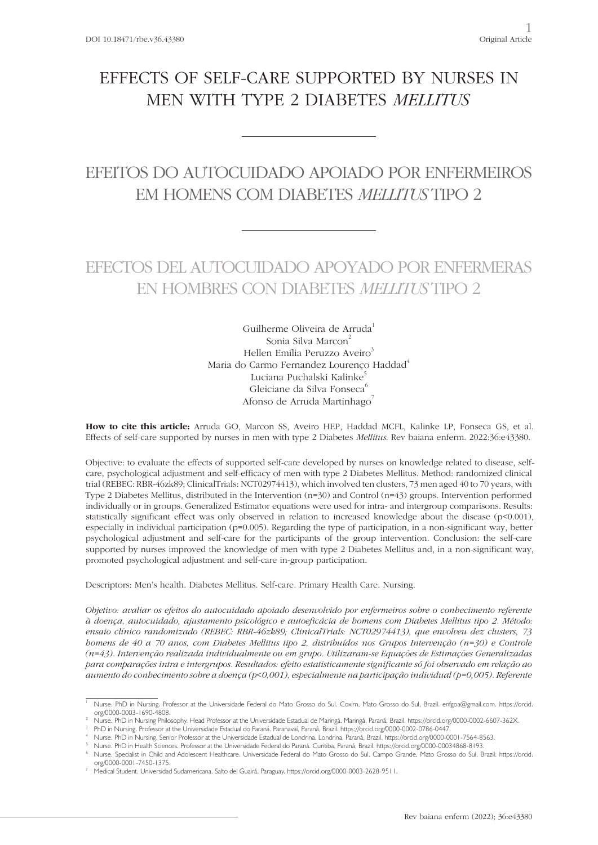# EFFECTS OF SELF-CARE SUPPORTED BY NURSES IN MEN WITH TYPE 2 DIABETES *MELLITUS*

## EFEITOS DO AUTOCUIDADO APOIADO POR ENFERMEIROS EM HOMENS COM DIABETES *MELLITUS* TIPO 2

## EFECTOS DEL AUTOCUIDADO APOYADO POR ENFERMERAS EN HOMBRES CON DIABETES *MELLITUS* TIPO 2

Guilherme Oliveira de Arruda<sup>1</sup> Sonia Silva Marcon<sup>2</sup> Hellen Emília Peruzzo Aveiro<sup>3</sup> Maria do Carmo Fernandez Lourenço Haddad<sup>4</sup> Luciana Puchalski Kalinke<sup>5</sup> Gleiciane da Silva Fonseca<sup>6</sup> Afonso de Arruda Martinhago<sup>7</sup>

**How to cite this article:** Arruda GO, Marcon SS, Aveiro HEP, Haddad MCFL, Kalinke LP, Fonseca GS, et al. Effects of self-care supported by nurses in men with type 2 Diabetes *Mellitus*. Rev baiana enferm. 2022:36:e43380.

Objective: to evaluate the effects of supported self-care developed by nurses on knowledge related to disease, selfcare, psychological adjustment and self-efficacy of men with type 2 Diabetes Mellitus. Method: randomized clinical trial (REBEC: RBR-46zk89; ClinicalTrials: NCT02974413), which involved ten clusters, 73 men aged 40 to 70 years, with Type 2 Diabetes Mellitus, distributed in the Intervention (n=30) and Control (n=43) groups. Intervention performed individually or in groups. Generalized Estimator equations were used for intra- and intergroup comparisons. Results: statistically significant effect was only observed in relation to increased knowledge about the disease (p<0.001), especially in individual participation (p=0.005). Regarding the type of participation, in a non-significant way, better psychological adjustment and self-care for the participants of the group intervention. Conclusion: the self-care supported by nurses improved the knowledge of men with type 2 Diabetes Mellitus and, in a non-significant way, promoted psychological adjustment and self-care in-group participation.

Descriptors: Men's health. Diabetes Mellitus. Self-care. Primary Health Care. Nursing.

*Objetivo: avaliar os efeitos do autocuidado apoiado desenvolvido por enfermeiros sobre o conhecimento referente à doença, autocuidado, ajustamento psicológico e autoeficácia de homens com Diabetes Mellitus tipo 2. Método: ensaio clínico randomizado (REBEC: RBR-46zk89; ClinicalTrials: NCT02974413), que envolveu dez clusters, 73 homens de 40 a 70 anos, com Diabetes Mellitus tipo 2, distribuídos nos Grupos Intervenção (n=30) e Controle (n=43). Intervenção realizada individualmente ou em grupo. Utilizaram-se Equações de Estimações Generalizadas para comparações intra e intergrupos. Resultados: efeito estatisticamente significante só foi observado em relação ao aumento do conhecimento sobre a doença (p<0,001), especialmente na participação individual (p=0,005). Referente* 

<sup>1</sup> Nurse. PhD in Nursing. Professor at the Universidade Federal do Mato Grosso do Sul. Coxim, Mato Grosso do Sul, Brazil. enfgoa@gmail.com. https://orcid. org/0000-0003-1690-4808.

<sup>2</sup> Nurse. PhD in Nursing Philosophy. Head Professor at the Universidade Estadual de Maringá. Maringá, Paraná, Brazil. https://orcid.org/0000-0002-6607-362X.

<sup>3</sup> PhD in Nursing. Professor at the Universidade Estadual do Paraná. Paranavaí, Paraná, Brazil. https://orcid.org/0000-0002-0786-0447.

Nurse. PhD in Nursing. Senior Professor at the Universidade Estadual de Londrina. Londrina, Paraná, Brazil. https://orcid.org/0000-0001-7564-8563.

<sup>5</sup> Nurse. PhD in Health Sciences. Professor at the Universidade Federal do Paraná. Curitiba, Paraná, Brazil. https://orcid.org/0000-00034868-8193.

<sup>6</sup> Nurse. Specialist in Child and Adolescent Healthcare. Universidade Federal do Mato Grosso do Sul. Campo Grande, Mato Grosso do Sul, Brazil. https://orcid. org/0000-0001-7450-1375.

<sup>7</sup> Medical Student. Universidad Sudamericana. Salto del Guairá, Paraguay. https://orcid.org/0000-0003-2628-9511.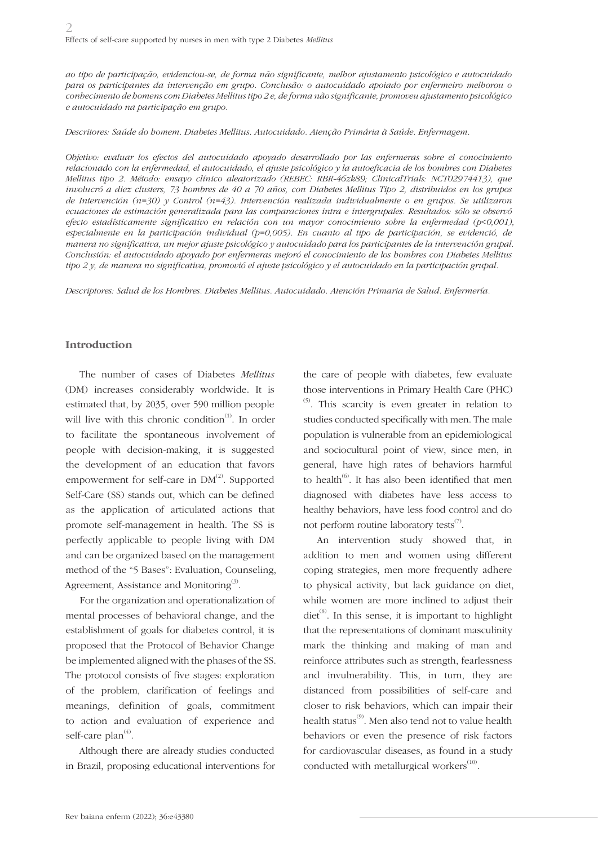*ao tipo de participação, evidenciou-se, de forma não significante, melhor ajustamento psicológico e autocuidado para os participantes da intervenção em grupo. Conclusão: o autocuidado apoiado por enfermeiro melhorou o conhecimento de homens com Diabetes Mellitus tipo 2 e, de forma não significante, promoveu ajustamento psicológico e autocuidado na participação em grupo.*

*Descritores: Saúde do homem. Diabetes Mellitus. Autocuidado. Atenção Primária à Saúde. Enfermagem.*

*Objetivo: evaluar los efectos del autocuidado apoyado desarrollado por las enfermeras sobre el conocimiento relacionado con la enfermedad, el autocuidado, el ajuste psicológico y la autoeficacia de los hombres con Diabetes Mellitus tipo 2. Método: ensayo clínico aleatorizado (REBEC: RBR-46zk89; ClinicalTrials: NCT02974413), que involucró a diez clusters, 73 hombres de 40 a 70 años, con Diabetes Mellitus Tipo 2, distribuidos en los grupos de Intervención (n=30) y Control (n=43). Intervención realizada individualmente o en grupos. Se utilizaron ecuaciones de estimación generalizada para las comparaciones intra e intergrupales. Resultados: sólo se observó efecto estadísticamente significativo en relación con un mayor conocimiento sobre la enfermedad (p<0,001), especialmente en la participación individual (p=0,005). En cuanto al tipo de participación, se evidenció, de manera no significativa, un mejor ajuste psicológico y autocuidado para los participantes de la intervención grupal. Conclusión: el autocuidado apoyado por enfermeras mejoró el conocimiento de los hombres con Diabetes Mellitus tipo 2 y, de manera no significativa, promovió el ajuste psicológico y el autocuidado en la participación grupal.*

*Descriptores: Salud de los Hombres. Diabetes Mellitus. Autocuidado. Atención Primaria de Salud. Enfermería.*

#### **Introduction**

The number of cases of Diabetes *Mellitus* (DM) increases considerably worldwide. It is estimated that, by 2035, over 590 million people will live with this chronic condition<sup> $(1)$ </sup>. In order to facilitate the spontaneous involvement of people with decision-making, it is suggested the development of an education that favors empowerment for self-care in  $DM<sup>(2)</sup>$ . Supported Self-Care (SS) stands out, which can be defined as the application of articulated actions that promote self-management in health. The SS is perfectly applicable to people living with DM and can be organized based on the management method of the "5 Bases": Evaluation, Counseling, Agreement, Assistance and Monitoring $^{(3)}$ .

For the organization and operationalization of mental processes of behavioral change, and the establishment of goals for diabetes control, it is proposed that the Protocol of Behavior Change be implemented aligned with the phases of the SS. The protocol consists of five stages: exploration of the problem, clarification of feelings and meanings, definition of goals, commitment to action and evaluation of experience and self-care  $plan<sup>(4)</sup>$ .

Although there are already studies conducted in Brazil, proposing educational interventions for the care of people with diabetes, few evaluate those interventions in Primary Health Care (PHC)  $(5)$ . This scarcity is even greater in relation to studies conducted specifically with men. The male population is vulnerable from an epidemiological and sociocultural point of view, since men, in general, have high rates of behaviors harmful to health<sup>(6)</sup>. It has also been identified that men diagnosed with diabetes have less access to healthy behaviors, have less food control and do not perform routine laboratory tests $(7)$ .

An intervention study showed that, in addition to men and women using different coping strategies, men more frequently adhere to physical activity, but lack guidance on diet, while women are more inclined to adjust their diet<sup>(8)</sup>. In this sense, it is important to highlight that the representations of dominant masculinity mark the thinking and making of man and reinforce attributes such as strength, fearlessness and invulnerability. This, in turn, they are distanced from possibilities of self-care and closer to risk behaviors, which can impair their health status<sup>(9)</sup>. Men also tend not to value health behaviors or even the presence of risk factors for cardiovascular diseases, as found in a study conducted with metallurgical workers $<sup>(10)</sup>$ .</sup>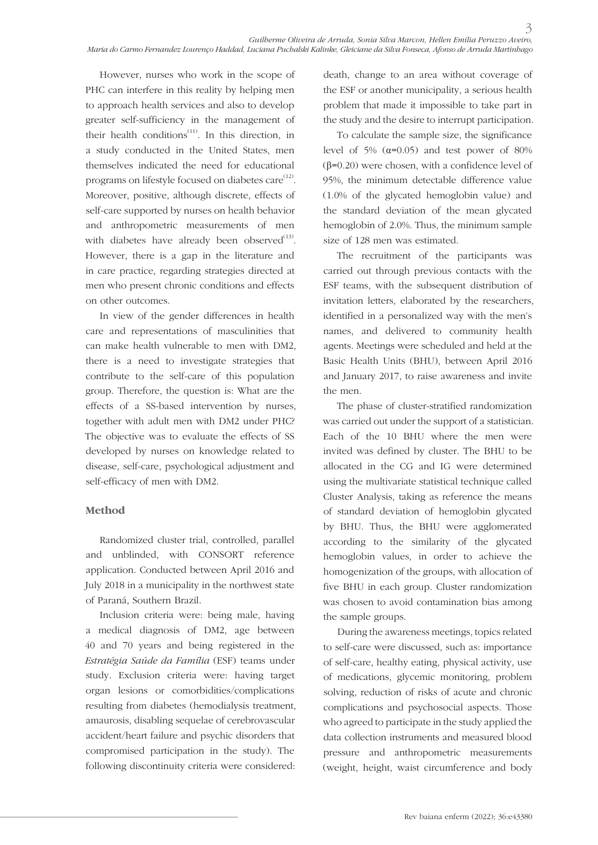However, nurses who work in the scope of PHC can interfere in this reality by helping men to approach health services and also to develop greater self-sufficiency in the management of their health conditions<sup>(11)</sup>. In this direction, in a study conducted in the United States, men themselves indicated the need for educational programs on lifestyle focused on diabetes care<sup>(12)</sup>. Moreover, positive, although discrete, effects of self-care supported by nurses on health behavior and anthropometric measurements of men with diabetes have already been observed $^{(13)}$ . However, there is a gap in the literature and in care practice, regarding strategies directed at men who present chronic conditions and effects on other outcomes.

In view of the gender differences in health care and representations of masculinities that can make health vulnerable to men with DM2, there is a need to investigate strategies that contribute to the self-care of this population group. Therefore, the question is: What are the effects of a SS-based intervention by nurses, together with adult men with DM2 under PHC? The objective was to evaluate the effects of SS developed by nurses on knowledge related to disease, self-care, psychological adjustment and self-efficacy of men with DM2.

### **Method**

Randomized cluster trial, controlled, parallel and unblinded, with CONSORT reference application. Conducted between April 2016 and July 2018 in a municipality in the northwest state of Paraná, Southern Brazil.

Inclusion criteria were: being male, having a medical diagnosis of DM2, age between 40 and 70 years and being registered in the *Estratégia Saúde da Família* (ESF) teams under study. Exclusion criteria were: having target organ lesions or comorbidities/complications resulting from diabetes (hemodialysis treatment, amaurosis, disabling sequelae of cerebrovascular accident/heart failure and psychic disorders that compromised participation in the study). The following discontinuity criteria were considered:

death, change to an area without coverage of the ESF or another municipality, a serious health problem that made it impossible to take part in the study and the desire to interrupt participation.

To calculate the sample size, the significance level of 5%  $(α=0.05)$  and test power of 80% (β=0.20) were chosen, with a confidence level of 95%, the minimum detectable difference value (1.0% of the glycated hemoglobin value) and the standard deviation of the mean glycated hemoglobin of 2.0%. Thus, the minimum sample size of 128 men was estimated.

The recruitment of the participants was carried out through previous contacts with the ESF teams, with the subsequent distribution of invitation letters, elaborated by the researchers, identified in a personalized way with the men's names, and delivered to community health agents. Meetings were scheduled and held at the Basic Health Units (BHU), between April 2016 and January 2017, to raise awareness and invite the men.

The phase of cluster-stratified randomization was carried out under the support of a statistician. Each of the 10 BHU where the men were invited was defined by cluster. The BHU to be allocated in the CG and IG were determined using the multivariate statistical technique called Cluster Analysis, taking as reference the means of standard deviation of hemoglobin glycated by BHU. Thus, the BHU were agglomerated according to the similarity of the glycated hemoglobin values, in order to achieve the homogenization of the groups, with allocation of five BHU in each group. Cluster randomization was chosen to avoid contamination bias among the sample groups.

During the awareness meetings, topics related to self-care were discussed, such as: importance of self-care, healthy eating, physical activity, use of medications, glycemic monitoring, problem solving, reduction of risks of acute and chronic complications and psychosocial aspects. Those who agreed to participate in the study applied the data collection instruments and measured blood pressure and anthropometric measurements (weight, height, waist circumference and body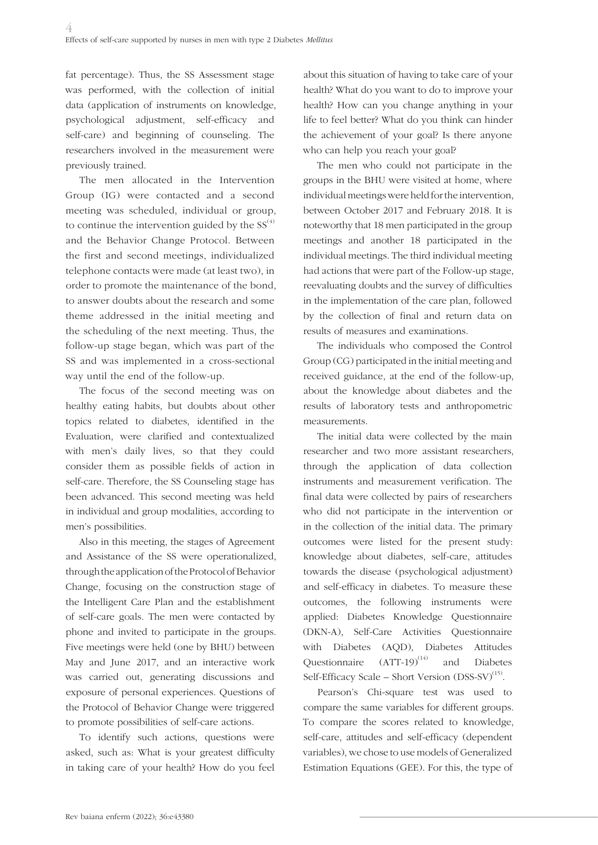fat percentage). Thus, the SS Assessment stage was performed, with the collection of initial data (application of instruments on knowledge, psychological adjustment, self-efficacy and self-care) and beginning of counseling. The researchers involved in the measurement were previously trained.

The men allocated in the Intervention Group (IG) were contacted and a second meeting was scheduled, individual or group, to continue the intervention guided by the  $SS^{(4)}$ and the Behavior Change Protocol. Between the first and second meetings, individualized telephone contacts were made (at least two), in order to promote the maintenance of the bond, to answer doubts about the research and some theme addressed in the initial meeting and the scheduling of the next meeting. Thus, the follow-up stage began, which was part of the SS and was implemented in a cross-sectional way until the end of the follow-up.

The focus of the second meeting was on healthy eating habits, but doubts about other topics related to diabetes, identified in the Evaluation, were clarified and contextualized with men's daily lives, so that they could consider them as possible fields of action in self-care. Therefore, the SS Counseling stage has been advanced. This second meeting was held in individual and group modalities, according to men's possibilities.

Also in this meeting, the stages of Agreement and Assistance of the SS were operationalized, through the application of the Protocol of Behavior Change, focusing on the construction stage of the Intelligent Care Plan and the establishment of self-care goals. The men were contacted by phone and invited to participate in the groups. Five meetings were held (one by BHU) between May and June 2017, and an interactive work was carried out, generating discussions and exposure of personal experiences. Questions of the Protocol of Behavior Change were triggered to promote possibilities of self-care actions.

To identify such actions, questions were asked, such as: What is your greatest difficulty in taking care of your health? How do you feel about this situation of having to take care of your health? What do you want to do to improve your health? How can you change anything in your life to feel better? What do you think can hinder the achievement of your goal? Is there anyone who can help you reach your goal?

The men who could not participate in the groups in the BHU were visited at home, where individual meetings were held for the intervention, between October 2017 and February 2018. It is noteworthy that 18 men participated in the group meetings and another 18 participated in the individual meetings. The third individual meeting had actions that were part of the Follow-up stage, reevaluating doubts and the survey of difficulties in the implementation of the care plan, followed by the collection of final and return data on results of measures and examinations.

The individuals who composed the Control Group (CG) participated in the initial meeting and received guidance, at the end of the follow-up, about the knowledge about diabetes and the results of laboratory tests and anthropometric measurements.

The initial data were collected by the main researcher and two more assistant researchers, through the application of data collection instruments and measurement verification. The final data were collected by pairs of researchers who did not participate in the intervention or in the collection of the initial data. The primary outcomes were listed for the present study: knowledge about diabetes, self-care, attitudes towards the disease (psychological adjustment) and self-efficacy in diabetes. To measure these outcomes, the following instruments were applied: Diabetes Knowledge Questionnaire (DKN-A), Self-Care Activities Questionnaire with Diabetes (AQD), Diabetes Attitudes Questionnaire  $(ATT-19)^{(14)}$  and Diabetes Self-Efficacy Scale – Short Version  $(DSS-SV)^{(15)}$ .

Pearson's Chi-square test was used to compare the same variables for different groups. To compare the scores related to knowledge, self-care, attitudes and self-efficacy (dependent variables), we chose to use models of Generalized Estimation Equations (GEE). For this, the type of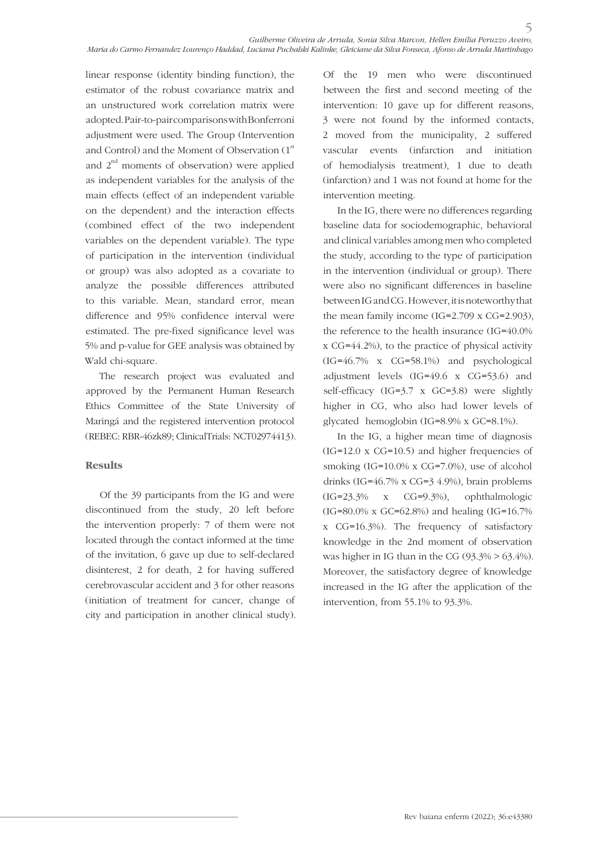linear response (identity binding function), the estimator of the robust covariance matrix and an unstructured work correlation matrix were adopted. Pair-to-pair comparisons with Bonferroni adjustment were used. The Group (Intervention and Control) and the Moment of Observation  $(1<sup>st</sup>$ and  $2^{nd}$  moments of observation) were applied as independent variables for the analysis of the main effects (effect of an independent variable on the dependent) and the interaction effects (combined effect of the two independent variables on the dependent variable). The type of participation in the intervention (individual or group) was also adopted as a covariate to analyze the possible differences attributed to this variable. Mean, standard error, mean difference and 95% confidence interval were estimated. The pre-fixed significance level was 5% and p-value for GEE analysis was obtained by Wald chi-square.

The research project was evaluated and approved by the Permanent Human Research Ethics Committee of the State University of Maringá and the registered intervention protocol (REBEC: RBR-46zk89; ClinicalTrials: NCT02974413).

### **Results**

Of the 39 participants from the IG and were discontinued from the study, 20 left before the intervention properly: 7 of them were not located through the contact informed at the time of the invitation, 6 gave up due to self-declared disinterest, 2 for death, 2 for having suffered cerebrovascular accident and 3 for other reasons (initiation of treatment for cancer, change of city and participation in another clinical study). Of the 19 men who were discontinued between the first and second meeting of the intervention: 10 gave up for different reasons, 3 were not found by the informed contacts, 2 moved from the municipality, 2 suffered vascular events (infarction and initiation of hemodialysis treatment), 1 due to death (infarction) and 1 was not found at home for the intervention meeting.

In the IG, there were no differences regarding baseline data for sociodemographic, behavioral and clinical variables among men who completed the study, according to the type of participation in the intervention (individual or group). There were also no significant differences in baseline between IG and CG. However, it is noteworthy that the mean family income  $(IG=2.709 \times CG=2.903)$ , the reference to the health insurance (IG=40.0% x CG=44.2%), to the practice of physical activity (IG=46.7% x CG=58.1%) and psychological adjustment levels (IG=49.6 x CG=53.6) and self-efficacy (IG=3.7 x GC=3.8) were slightly higher in CG, who also had lower levels of glycated hemoglobin (IG=8.9% x GC=8.1%).

In the IG, a higher mean time of diagnosis (IG=12.0 x CG=10.5) and higher frequencies of smoking (IG=10.0% x CG=7.0%), use of alcohol drinks (IG=46.7% x CG=3 4.9%), brain problems (IG=23.3% x CG=9.3%), ophthalmologic (IG=80.0% x GC=62.8%) and healing (IG=16.7% x CG=16.3%). The frequency of satisfactory knowledge in the 2nd moment of observation was higher in IG than in the CG  $(93.3\% > 63.4\%)$ . Moreover, the satisfactory degree of knowledge increased in the IG after the application of the intervention, from 55.1% to 93.3%.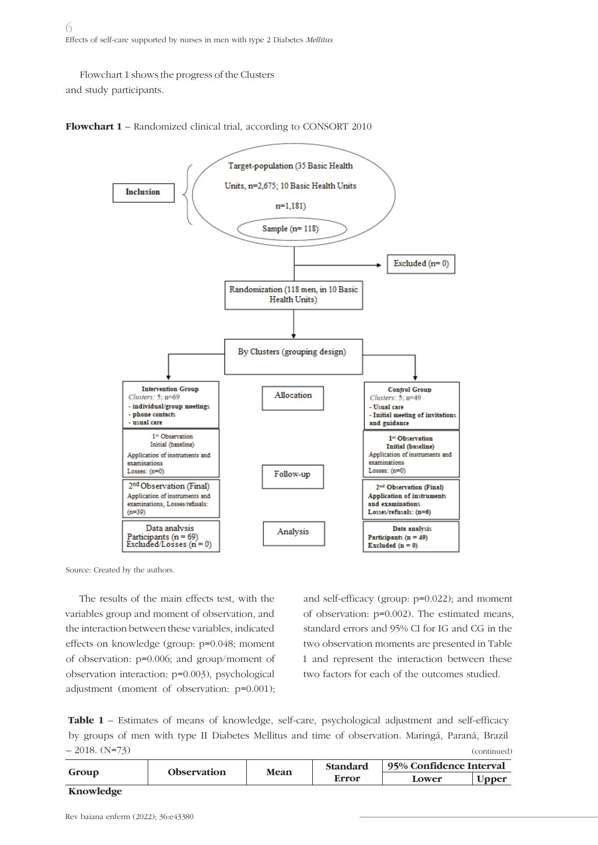Flowchart 1 shows the progress of the Clusters and study participants.





Source: Created by the authors.

The results of the main effects test, with the variables group and moment of observation, and the interaction between these variables, indicated effects on knowledge (group: p=0.048; moment of observation: p=0.006; and group/moment of observation interaction: p=0.003), psychological adjustment (moment of observation: p=0.001);

and self-efficacy (group: p=0.022); and moment of observation: p=0.002). The estimated means, standard errors and 95% CI for IG and CG in the two observation moments are presented in Table 1 and represent the interaction between these two factors for each of the outcomes studied.

**Table 1** – Estimates of means of knowledge, self-care, psychological adjustment and self-efficacy by groups of men with type II Diabetes Mellitus and time of observation. Maringá, Paraná, Brazil  $-2018.$  (N=73) (continued)

| Group            | <b>Observation</b> | <b>Mean</b> | <b>Standard</b> | 95% Confidence Interval |               |
|------------------|--------------------|-------------|-----------------|-------------------------|---------------|
|                  |                    |             | Error           | Lower                   | <b>U</b> pper |
| <b>Knowledge</b> |                    |             |                 |                         |               |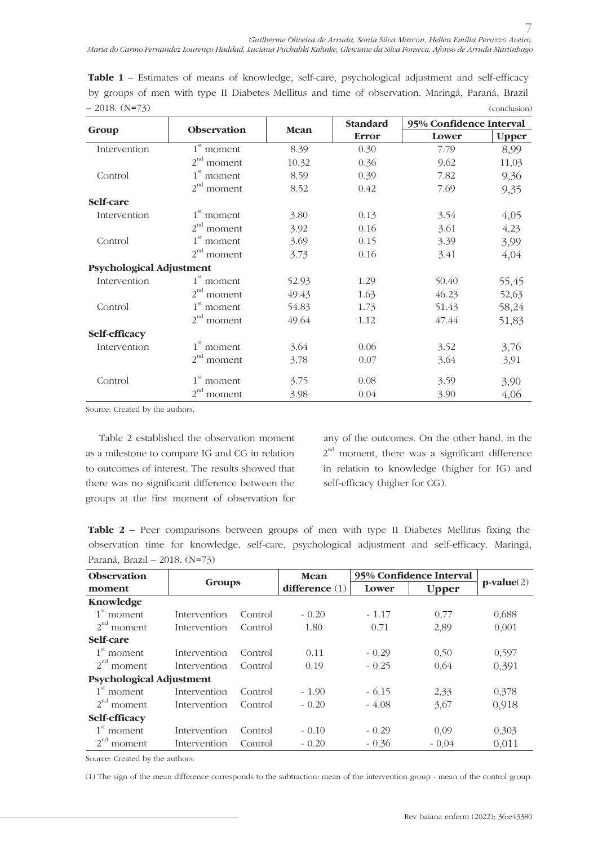Table 1 - Estimates of means of knowledge, self-care, psychological adjustment and self-efficacy by groups of men with type II Diabetes Mellitus and time of observation. Maringá, Paraná, Brazil  $-2018.$  (N=73) (conclusion)

|                                 |                    | Mean  | Standard     | 95% Confidence Interval |              |
|---------------------------------|--------------------|-------|--------------|-------------------------|--------------|
| Group                           | Observation        |       | <b>Error</b> | Lower                   | <b>Upper</b> |
| Intervention                    | $1st$ moment       | 8.39  | 0.30         | 7.79                    | 8,99         |
|                                 | $2^{nd}$<br>moment | 10.32 | 0.36         | 9.62                    | 11,03        |
| Control                         | $1st$ moment       | 8.59  | 0.39         | 7.82                    | 9,36         |
|                                 | $2^{nd}$<br>moment | 8.52  | 0.42         | 7.69                    | 9,35         |
| Self-care                       |                    |       |              |                         |              |
| Intervention                    | $1st$ moment       | 3.80  | 0.13         | 3.54                    | 4,05         |
|                                 | $2^{nd}$<br>moment | 3.92  | 0.16         | 3.61                    | 4,23         |
| Control                         | $1st$ moment       | 3.69  | 0.15         | 3.39                    | 3,99         |
|                                 | $2^{nd}$<br>moment | 3.73  | 0.16         | 3.41                    | 4,04         |
| <b>Psychological Adjustment</b> |                    |       |              |                         |              |
| Intervention                    | $1st$ moment       | 52.93 | 1.29         | 50.40                   | 55,45        |
|                                 | $2^{nd}$<br>moment | 49.43 | 1.63         | 46.23                   | 52,63        |
| Control                         | $1st$ moment       | 54.83 | 1.73         | 51.43                   | 58,24        |
|                                 | $2nd$ moment       | 49.64 | 1.12         | 47.44                   | 51,83        |
| Self-efficacy                   |                    |       |              |                         |              |
| Intervention                    | $1st$ moment       | 3.64  | 0.06         | 3.52                    | 3,76         |
|                                 | $2^{nd}$<br>moment | 3.78  | 0.07         | 3.64                    | 3,91         |
| Control                         | $1st$ moment       | 3.75  | 0.08         | 3.59                    | 3,90         |
|                                 | $2^{nd}$<br>moment | 3.98  | 0.04         | 3.90                    | 4,06         |

Source: Created by the authors.

Table 2 established the observation moment as a milestone to compare IG and CG in relation to outcomes of interest. The results showed that there was no significant difference between the groups at the first moment of observation for

any of the outcomes. On the other hand, in the  $2<sup>nd</sup>$  moment, there was a significant difference in relation to knowledge (higher for IG) and self-efficacy (higher for CG).

**Table 2** – Peer comparisons between groups of men with type II Diabetes Mellitus fixing the observation time for knowledge, self-care, psychological adjustment and self-efficacy. Maringá, Paraná, Brazil – 2018. (N=73)

| Observation              | Groups       |         | Mean             | 95% Confidence Interval |              |              |
|--------------------------|--------------|---------|------------------|-------------------------|--------------|--------------|
| moment                   |              |         | difference $(1)$ | Lower                   | <b>Upper</b> | $p-value(2)$ |
| Knowledge                |              |         |                  |                         |              |              |
| $1st$ moment             | Intervention | Control | $-0.20$          | $-1.17$                 | 0.77         | 0,688        |
| $2^{nd}$ moment          | Intervention | Control | 1.80             | 0.71                    | 2,89         | 0,001        |
| Self-care                |              |         |                  |                         |              |              |
| $1st$ moment             | Intervention | Control | 0.11             | $-0.29$                 | 0.50         | 0.597        |
| $2nd$ moment             | Intervention | Control | 0.19             | $-0.25$                 | 0,64         | 0,391        |
| Psychological Adjustment |              |         |                  |                         |              |              |
| $1st$ moment             | Intervention | Control | $-1.90$          | $-6.15$                 | 2.33         | 0.378        |
| $2^{nd}$ moment          | Intervention | Control | $-0.20$          | $-4.08$                 | 3,67         | 0,918        |
| <b>Self-efficacy</b>     |              |         |                  |                         |              |              |
| $1st$ moment             | Intervention | Control | $-0.10$          | $-0.29$                 | 0.09         | 0.303        |
| $2^{nd}$<br>moment       | Intervention | Control | $-0.20$          | $-0.36$                 | $-0.04$      | 0,011        |

Source: Created by the authors.

(1) The sign of the mean difference corresponds to the subtraction: mean of the intervention group - mean of the control group.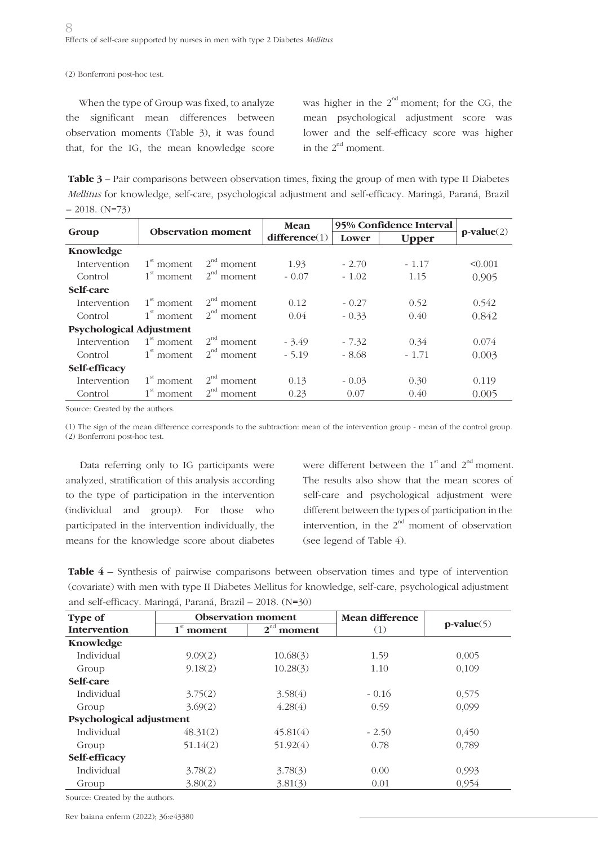(2) Bonferroni post-hoc test.

When the type of Group was fixed, to analyze the significant mean differences between observation moments (Table 3), it was found that, for the IG, the mean knowledge score

was higher in the  $2^{nd}$  moment; for the CG, the mean psychological adjustment score was lower and the self-efficacy score was higher in the  $2^{nd}$  moment.

**Table 3** – Pair comparisons between observation times, fixing the group of men with type II Diabetes *Mellitus* for knowledge, self-care, psychological adjustment and self-efficacy. Maringá, Paraná, Brazil  $-2018.$  (N=73)

|                                 | <b>Observation moment</b> |                    | Mean          | 95% Confidence Interval |              |              |
|---------------------------------|---------------------------|--------------------|---------------|-------------------------|--------------|--------------|
| Group                           |                           |                    | difference(1) | Lower                   | <b>Upper</b> | $p-value(2)$ |
| Knowledge                       |                           |                    |               |                         |              |              |
| Intervention                    | $1st$ moment              | $2^{nd}$ moment    | 1.93          | $-2.70$                 | $-1.17$      | < 0.001      |
| Control                         | $1st$ moment              | $2nd$ moment       | $-0.07$       | $-1.02$                 | 1.15         | 0.905        |
| Self-care                       |                           |                    |               |                         |              |              |
| Intervention                    | $1st$ moment              | $2nd$ moment       | 0.12          | $-0.27$                 | 0.52         | 0.542        |
| Control                         | $1st$ moment              | $2^{nd}$ moment    | 0.04          | $-0.33$                 | 0.40         | 0.842        |
| <b>Psychological Adjustment</b> |                           |                    |               |                         |              |              |
| Intervention                    | $1st$ moment              | $2nd$ moment       | $-3.49$       | $-7.32$                 | 0.34         | 0.074        |
| Control                         | $1st$ moment              | $2nd$ moment       | $-5.19$       | $-8.68$                 | $-1.71$      | 0.003        |
| Self-efficacy                   |                           |                    |               |                         |              |              |
| Intervention                    | $1st$ moment              | $2nd$ moment       | 0.13          | $-0.03$                 | 0.30         | 0.119        |
| Control                         | $1st$ moment              | $2^{nd}$<br>moment | 0.23          | 0.07                    | 0.40         | 0.005        |

Source: Created by the authors.

(1) The sign of the mean difference corresponds to the subtraction: mean of the intervention group - mean of the control group. (2) Bonferroni post-hoc test.

Data referring only to IG participants were analyzed, stratification of this analysis according to the type of participation in the intervention (individual and group). For those who participated in the intervention individually, the means for the knowledge score about diabetes

were different between the  $1<sup>st</sup>$  and  $2<sup>nd</sup>$  moment. The results also show that the mean scores of self-care and psychological adjustment were different between the types of participation in the intervention, in the  $2^{nd}$  moment of observation (see legend of Table 4).

**Table 4 –** Synthesis of pairwise comparisons between observation times and type of intervention (covariate) with men with type II Diabetes Mellitus for knowledge, self-care, psychological adjustment and self-efficacy. Maringá, Paraná, Brazil – 2018. (N=30)

| Type of                  |          | <b>Observation</b> moment | Mean difference | $p-value(5)$ |  |
|--------------------------|----------|---------------------------|-----------------|--------------|--|
| Intervention             | moment   | $2^{nd}$<br>moment        | (1)             |              |  |
| Knowledge                |          |                           |                 |              |  |
| Individual               | 9.09(2)  | 10.68(3)                  | 1.59            | 0,005        |  |
| Group                    | 9.18(2)  | 10.28(3)                  | 1.10            | 0,109        |  |
| Self-care                |          |                           |                 |              |  |
| Individual               | 3.75(2)  | 3.58(4)                   | $-0.16$         | 0,575        |  |
| Group                    | 3.69(2)  | 4.28(4)                   | 0.59            | 0,099        |  |
| Psychological adjustment |          |                           |                 |              |  |
| Individual               | 48.31(2) | 45.81(4)                  | $-2.50$         | 0,450        |  |
| Group                    | 51.14(2) | 51.92(4)                  | 0.78            | 0,789        |  |
| <b>Self-efficacy</b>     |          |                           |                 |              |  |
| Individual               | 3.78(2)  | 3.78(3)                   | 0.00            | 0,993        |  |
| Group                    | 3.80(2)  | 3.81(3)                   | 0.01            | 0,954        |  |

Source: Created by the authors.

Rev baiana enferm (2022); 36:e43380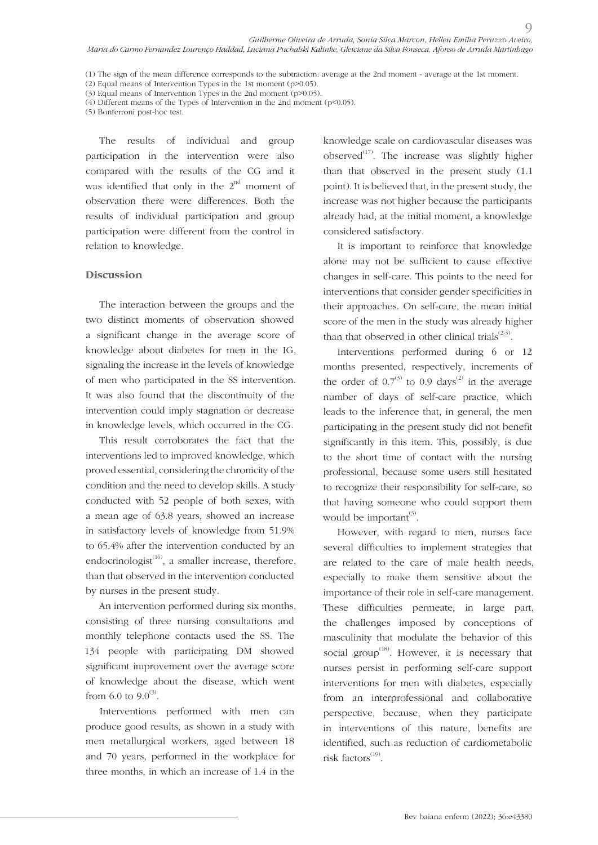(5) Bonferroni post-hoc test.

The results of individual and group participation in the intervention were also compared with the results of the CG and it was identified that only in the  $2^{nd}$  moment of observation there were differences. Both the results of individual participation and group participation were different from the control in relation to knowledge.

#### **Discussion**

The interaction between the groups and the two distinct moments of observation showed a significant change in the average score of knowledge about diabetes for men in the IG, signaling the increase in the levels of knowledge of men who participated in the SS intervention. It was also found that the discontinuity of the intervention could imply stagnation or decrease in knowledge levels, which occurred in the CG.

This result corroborates the fact that the interventions led to improved knowledge, which proved essential, considering the chronicity of the condition and the need to develop skills. A study conducted with 52 people of both sexes, with a mean age of 63.8 years, showed an increase in satisfactory levels of knowledge from 51.9% to 65.4% after the intervention conducted by an endocrinologist $^{(16)}$ , a smaller increase, therefore, than that observed in the intervention conducted by nurses in the present study.

An intervention performed during six months, consisting of three nursing consultations and monthly telephone contacts used the SS. The 134 people with participating DM showed significant improvement over the average score of knowledge about the disease, which went from 6.0 to  $9.0^{(3)}$ .

Interventions performed with men can produce good results, as shown in a study with men metallurgical workers, aged between 18 and 70 years, performed in the workplace for three months, in which an increase of 1.4 in the knowledge scale on cardiovascular diseases was observed $^{(17)}$ . The increase was slightly higher than that observed in the present study (1.1 point). It is believed that, in the present study, the increase was not higher because the participants already had, at the initial moment, a knowledge considered satisfactory.

 $\circ$ 

It is important to reinforce that knowledge alone may not be sufficient to cause effective changes in self-care. This points to the need for interventions that consider gender specificities in their approaches. On self-care, the mean initial score of the men in the study was already higher than that observed in other clinical trials $(2-3)$ .

Interventions performed during 6 or 12 months presented, respectively, increments of the order of  $0.7^{(3)}$  to 0.9 days<sup>(2)</sup> in the average number of days of self-care practice, which leads to the inference that, in general, the men participating in the present study did not benefit significantly in this item. This, possibly, is due to the short time of contact with the nursing professional, because some users still hesitated to recognize their responsibility for self-care, so that having someone who could support them would be important<sup>(3)</sup>.

However, with regard to men, nurses face several difficulties to implement strategies that are related to the care of male health needs, especially to make them sensitive about the importance of their role in self-care management. These difficulties permeate, in large part, the challenges imposed by conceptions of masculinity that modulate the behavior of this social group<sup> $(18)$ </sup>. However, it is necessary that nurses persist in performing self-care support interventions for men with diabetes, especially from an interprofessional and collaborative perspective, because, when they participate in interventions of this nature, benefits are identified, such as reduction of cardiometabolic risk factors $^{(19)}$ .

<sup>(1)</sup> The sign of the mean difference corresponds to the subtraction: average at the 2nd moment - average at the 1st moment.

<sup>(2)</sup> Equal means of Intervention Types in the 1st moment (p>0.05).

<sup>(3)</sup> Equal means of Intervention Types in the 2nd moment (p>0.05). (4) Different means of the Types of Intervention in the 2nd moment (p<0.05).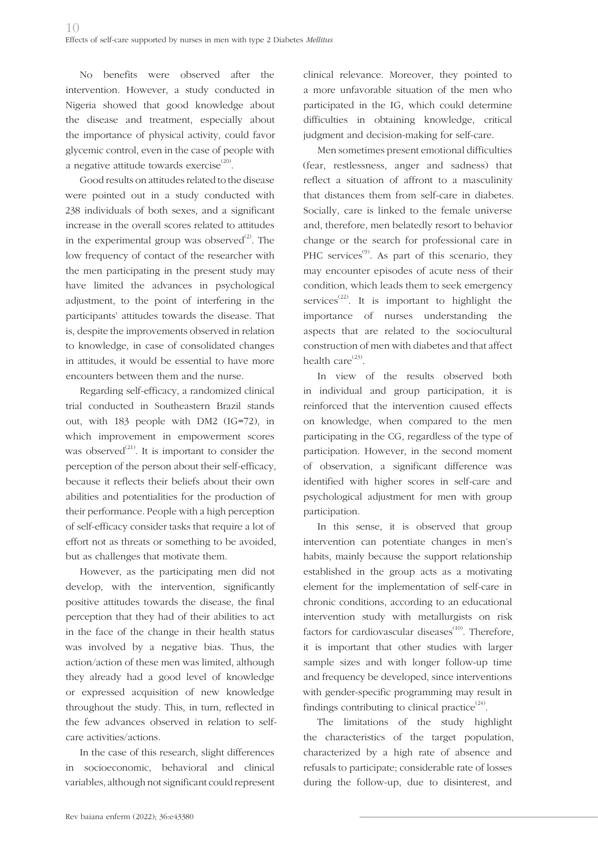No benefits were observed after the intervention. However, a study conducted in Nigeria showed that good knowledge about the disease and treatment, especially about the importance of physical activity, could favor glycemic control, even in the case of people with a negative attitude towards exercise $^{(20)}$ .

Good results on attitudes related to the disease were pointed out in a study conducted with 238 individuals of both sexes, and a significant increase in the overall scores related to attitudes in the experimental group was observed $^{(2)}$ . The low frequency of contact of the researcher with the men participating in the present study may have limited the advances in psychological adjustment, to the point of interfering in the participants' attitudes towards the disease. That is, despite the improvements observed in relation to knowledge, in case of consolidated changes in attitudes, it would be essential to have more encounters between them and the nurse.

Regarding self-efficacy, a randomized clinical trial conducted in Southeastern Brazil stands out, with 183 people with DM2 (IG=72), in which improvement in empowerment scores was observed $^{(21)}$ . It is important to consider the perception of the person about their self-efficacy, because it reflects their beliefs about their own abilities and potentialities for the production of their performance. People with a high perception of self-efficacy consider tasks that require a lot of effort not as threats or something to be avoided, but as challenges that motivate them.

However, as the participating men did not develop, with the intervention, significantly positive attitudes towards the disease, the final perception that they had of their abilities to act in the face of the change in their health status was involved by a negative bias. Thus, the action/action of these men was limited, although they already had a good level of knowledge or expressed acquisition of new knowledge throughout the study. This, in turn, reflected in the few advances observed in relation to selfcare activities/actions.

In the case of this research, slight differences in socioeconomic, behavioral and clinical variables, although not significant could represent clinical relevance. Moreover, they pointed to a more unfavorable situation of the men who participated in the IG, which could determine difficulties in obtaining knowledge, critical judgment and decision-making for self-care.

Men sometimes present emotional difficulties (fear, restlessness, anger and sadness) that reflect a situation of affront to a masculinity that distances them from self-care in diabetes. Socially, care is linked to the female universe and, therefore, men belatedly resort to behavior change or the search for professional care in PHC services $^{(9)}$ . As part of this scenario, they may encounter episodes of acute ness of their condition, which leads them to seek emergency services<sup> $(22)$ </sup>. It is important to highlight the importance of nurses understanding the aspects that are related to the sociocultural construction of men with diabetes and that affect health care $^{(23)}$ .

In view of the results observed both in individual and group participation, it is reinforced that the intervention caused effects on knowledge, when compared to the men participating in the CG, regardless of the type of participation. However, in the second moment of observation, a significant difference was identified with higher scores in self-care and psychological adjustment for men with group participation.

In this sense, it is observed that group intervention can potentiate changes in men's habits, mainly because the support relationship established in the group acts as a motivating element for the implementation of self-care in chronic conditions, according to an educational intervention study with metallurgists on risk factors for cardiovascular diseases $(10)$ . Therefore, it is important that other studies with larger sample sizes and with longer follow-up time and frequency be developed, since interventions with gender-specific programming may result in findings contributing to clinical practice $^{(24)}$ .

The limitations of the study highlight the characteristics of the target population, characterized by a high rate of absence and refusals to participate; considerable rate of losses during the follow-up, due to disinterest, and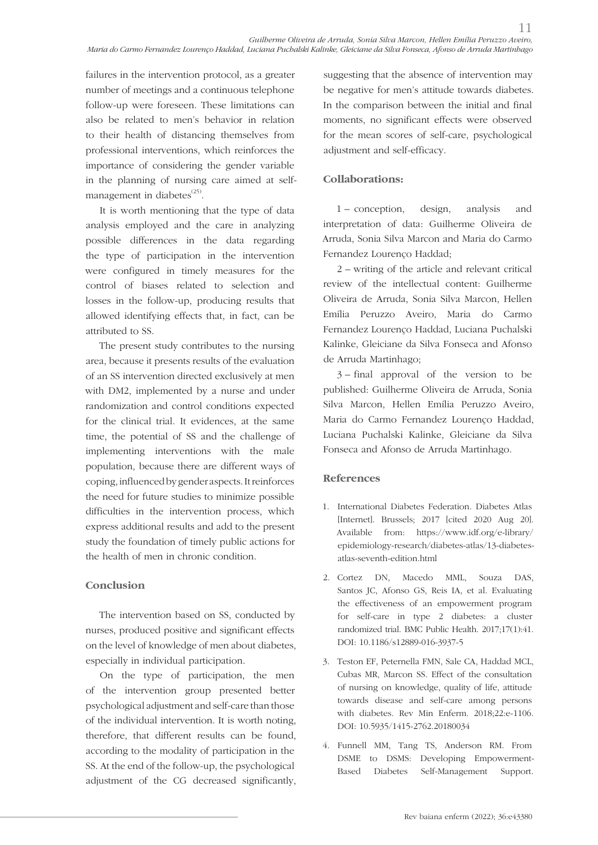failures in the intervention protocol, as a greater number of meetings and a continuous telephone follow-up were foreseen. These limitations can also be related to men's behavior in relation to their health of distancing themselves from professional interventions, which reinforces the importance of considering the gender variable in the planning of nursing care aimed at selfmanagement in diabetes $^{(25)}$ .

It is worth mentioning that the type of data analysis employed and the care in analyzing possible differences in the data regarding the type of participation in the intervention were configured in timely measures for the control of biases related to selection and losses in the follow-up, producing results that allowed identifying effects that, in fact, can be attributed to SS.

The present study contributes to the nursing area, because it presents results of the evaluation of an SS intervention directed exclusively at men with DM2, implemented by a nurse and under randomization and control conditions expected for the clinical trial. It evidences, at the same time, the potential of SS and the challenge of implementing interventions with the male population, because there are different ways of coping, influenced by gender aspects. It reinforces the need for future studies to minimize possible difficulties in the intervention process, which express additional results and add to the present study the foundation of timely public actions for the health of men in chronic condition.

## **Conclusion**

The intervention based on SS, conducted by nurses, produced positive and significant effects on the level of knowledge of men about diabetes, especially in individual participation.

On the type of participation, the men of the intervention group presented better psychological adjustment and self-care than those of the individual intervention. It is worth noting, therefore, that different results can be found, according to the modality of participation in the SS. At the end of the follow-up, the psychological adjustment of the CG decreased significantly,

suggesting that the absence of intervention may be negative for men's attitude towards diabetes. In the comparison between the initial and final moments, no significant effects were observed for the mean scores of self-care, psychological adjustment and self-efficacy.

## **Collaborations:**

1 – conception, design, analysis and interpretation of data: Guilherme Oliveira de Arruda, Sonia Silva Marcon and Maria do Carmo Fernandez Lourenço Haddad;

2 – writing of the article and relevant critical review of the intellectual content: Guilherme Oliveira de Arruda, Sonia Silva Marcon, Hellen Emília Peruzzo Aveiro, Maria do Carmo Fernandez Lourenço Haddad, Luciana Puchalski Kalinke, Gleiciane da Silva Fonseca and Afonso de Arruda Martinhago;

3 – final approval of the version to be published: Guilherme Oliveira de Arruda, Sonia Silva Marcon, Hellen Emília Peruzzo Aveiro, Maria do Carmo Fernandez Lourenço Haddad, Luciana Puchalski Kalinke, Gleiciane da Silva Fonseca and Afonso de Arruda Martinhago.

## **References**

- 1. International Diabetes Federation. Diabetes Atlas [Internet]. Brussels; 2017 [cited 2020 Aug 20]. Available from: https://www.idf.org/e-library/ epidemiology-research/diabetes-atlas/13-diabetesatlas-seventh-edition.html
- 2. Cortez DN, Macedo MML, Souza DAS, Santos JC, Afonso GS, Reis IA, et al. Evaluating the effectiveness of an empowerment program for self-care in type 2 diabetes: a cluster randomized trial. BMC Public Health. 2017;17(1):41. DOI: 10.1186/s12889-016-3937-5
- 3. Teston EF, Peternella FMN, Sale CA, Haddad MCL, Cubas MR, Marcon SS. Effect of the consultation of nursing on knowledge, quality of life, attitude towards disease and self-care among persons with diabetes. Rev Min Enferm. 2018;22:e-1106. DOI: 10.5935/1415-2762.20180034
- 4. Funnell MM, Tang TS, Anderson RM. From DSME to DSMS: Developing Empowerment-Based Diabetes Self-Management Support.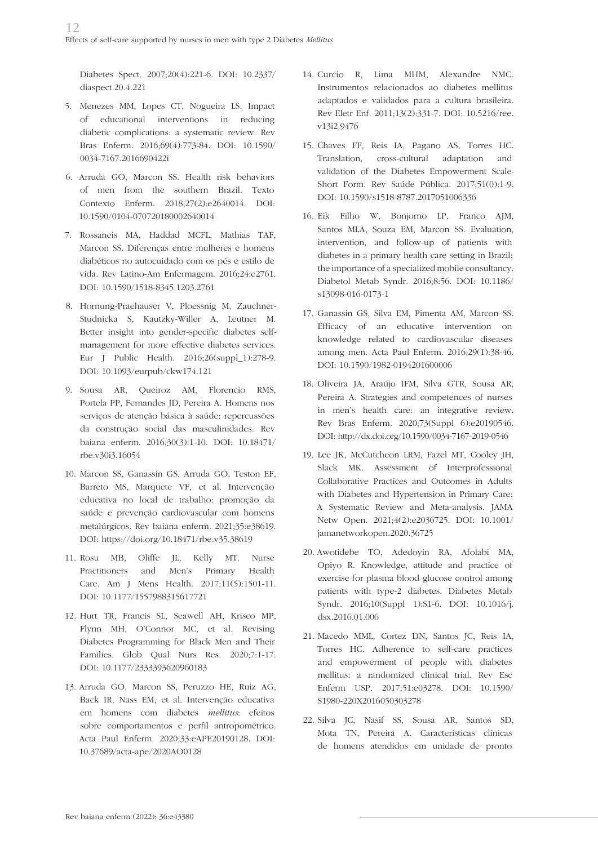Diabetes Spect. 2007;20(4):221-6. DOI: 10.2337/ diaspect.20.4.221

- 5. Menezes MM, Lopes CT, Nogueira LS. Impact of educational interventions in reducing diabetic complications: a systematic review. Rev Bras Enferm. 2016;69(4):773-84. DOI: 10.1590/ 0034-7167.2016690422i
- 6. Arruda GO, Marcon SS. Health risk behaviors of men from the southern Brazil. Texto Contexto Enferm. 2018;27(2):e2640014. DOI: 10.1590/0104-070720180002640014
- 7. Rossaneis MA, Haddad MCFL, Mathias TAF, Marcon SS. Diferenças entre mulheres e homens diabéticos no autocuidado com os pés e estilo de vida. Rev Latino-Am Enfermagem. 2016;24:e2761. DOI: 10.1590/1518-8345.1203.2761
- 8. Hornung-Praehauser V, Ploessnig M, Zauchner-Studnicka S, Kautzky-Willer A, Leutner M. Better insight into gender-specific diabetes selfmanagement for more effective diabetes services. Eur J Public Health. 2016;26(suppl\_1):278-9. DOI: 10.1093/eurpub/ckw174.121
- 9. Sousa AR, Queiroz AM, Florencio RMS, Portela PP, Fernandes JD, Pereira A. Homens nos serviços de atenção básica à saúde: repercussões da construção social das masculinidades. Rev baiana enferm. 2016;30(3):1-10. DOI: 10.18471/ rbe.v30i3.16054
- 10. Marcon SS, Ganassin GS, Arruda GO, Teston EF, Barreto MS, Marquete VF, et al. Intervenção educativa no local de trabalho: promoção da saúde e prevenção cardiovascular com homens metalúrgicos. Rev baiana enferm. 2021;35:e38619. DOI: https://doi.org/10.18471/rbe.v35.38619
- 11. Rosu MB, Oliffe JL, Kelly MT. Nurse Practitioners and Men's Primary Health Care. Am J Mens Health. 2017;11(5):1501-11. DOI: 10.1177/1557988315617721
- 12. Hurt TR, Francis SL, Seawell AH, Krisco MP, Flynn MH, O'Connor MC, et al. Revising Diabetes Programming for Black Men and Their Families. Glob Qual Nurs Res. 2020;7:1-17. DOI: 10.1177/2333393620960183
- 13. Arruda GO, Marcon SS, Peruzzo HE, Ruiz AG, Back IR, Nass EM, et al. Intervenção educativa em homens com diabetes *mellitus*: efeitos sobre comportamentos e perfil antropométrico. Acta Paul Enferm. 2020;33:eAPE20190128. DOI: 10.37689/acta-ape/2020AO0128
- 14. Curcio R, Lima MHM, Alexandre NMC. Instrumentos relacionados ao diabetes mellitus adaptados e validados para a cultura brasileira. Rev Eletr Enf. 2011;13(2):331-7. DOI: 10.5216/ree. v13i2.9476
- 15. Chaves FF, Reis IA, Pagano AS, Torres HC. Translation, cross-cultural adaptation and validation of the Diabetes Empowerment Scale-Short Form. Rev Saúde Pública. 2017;51(0):1-9. DOI: 10.1590/s1518-8787.2017051006336
- 16. Eik Filho W, Bonjorno LP, Franco AJM, Santos MLA, Souza EM, Marcon SS. Evaluation, intervention, and follow-up of patients with diabetes in a primary health care setting in Brazil: the importance of a specialized mobile consultancy. Diabetol Metab Syndr. 2016;8:56. DOI: 10.1186/ s13098-016-0173-1
- 17. Ganassin GS, Silva EM, Pimenta AM, Marcon SS. Efficacy of an educative intervention on knowledge related to cardiovascular diseases among men. Acta Paul Enferm. 2016;29(1):38-46. DOI: 10.1590/1982-0194201600006
- 18. Oliveira JA, Araújo IFM, Silva GTR, Sousa AR, Pereira A. Strategies and competences of nurses in men's health care: an integrative review. Rev Bras Enferm. 2020;73(Suppl 6):e20190546. DOI: http://dx.doi.org/10.1590/0034-7167-2019-0546
- 19. Lee JK, McCutcheon LRM, Fazel MT, Cooley JH, Slack MK. Assessment of Interprofessional Collaborative Practices and Outcomes in Adults with Diabetes and Hypertension in Primary Care: A Systematic Review and Meta-analysis. JAMA Netw Open. 2021;4(2):e2036725. DOI: 10.1001/ jamanetworkopen.2020.36725
- 20. Awotidebe TO, Adedoyin RA, Afolabi MA, Opiyo R. Knowledge, attitude and practice of exercise for plasma blood glucose control among patients with type-2 diabetes. Diabetes Metab Syndr. 2016;10(Suppl 1):S1-6. DOI: 10.1016/j. dsx.2016.01.006
- 21. Macedo MML, Cortez DN, Santos JC, Reis IA, Torres HC. Adherence to self-care practices and empowerment of people with diabetes mellitus: a randomized clinical trial. Rev Esc Enferm USP. 2017;51:e03278. DOI: 10.1590/ S1980-220X2016050303278
- 22. Silva JC, Nasif SS, Sousa AR, Santos SD, Mota TN, Pereira A. Características clínicas de homens atendidos em unidade de pronto